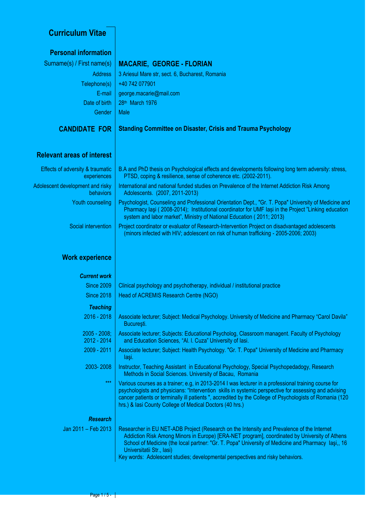# **Curriculum Vitae**

| <b>Personal information</b>                          |                                                                                                                                                                                                                                                                                                                                                                                                                  |
|------------------------------------------------------|------------------------------------------------------------------------------------------------------------------------------------------------------------------------------------------------------------------------------------------------------------------------------------------------------------------------------------------------------------------------------------------------------------------|
| Surname(s) / First name(s)                           | <b>MACARIE, GEORGE - FLORIAN</b>                                                                                                                                                                                                                                                                                                                                                                                 |
| <b>Address</b>                                       | 3 Ariesul Mare str, sect. 6, Bucharest, Romania                                                                                                                                                                                                                                                                                                                                                                  |
| Telephone(s)                                         | +40 742 077901                                                                                                                                                                                                                                                                                                                                                                                                   |
| E-mail                                               | george.macarie@mail.com                                                                                                                                                                                                                                                                                                                                                                                          |
| Date of birth                                        | 28th March 1976                                                                                                                                                                                                                                                                                                                                                                                                  |
| Gender                                               | Male                                                                                                                                                                                                                                                                                                                                                                                                             |
| <b>CANDIDATE FOR</b>                                 | <b>Standing Committee on Disaster, Crisis and Trauma Psychology</b>                                                                                                                                                                                                                                                                                                                                              |
| <b>Relevant areas of interest</b>                    |                                                                                                                                                                                                                                                                                                                                                                                                                  |
| Effects of adversity & traumatic<br>experiences      | B.A and PhD thesis on Psychological effects and developments following long term adversity: stress,<br>PTSD, coping & resilience, sense of coherence etc. (2002-2011).                                                                                                                                                                                                                                           |
| Adolescent development and risky<br><b>behaviors</b> | International and national funded studies on Prevalence of the Internet Addiction Risk Among<br>Adolescents. (2007, 2011-2013)                                                                                                                                                                                                                                                                                   |
| Youth counseling                                     | Psychologist, Counseling and Professional Orientation Dept., "Gr. T. Popa" University of Medicine and<br>Pharmacy Iaşi (2008-2014); Institutional coordinator for UMF Iași in the Project "Linking education<br>system and labor market", Ministry of National Education (2011; 2013)                                                                                                                            |
| Social intervention                                  | Project coordinator or evaluator of Research-Intervention Project on disadvantaged adolescents<br>(minors infected with HIV; adolescent on risk of human trafficking - 2005-2006; 2003)                                                                                                                                                                                                                          |
| <b>Work experience</b>                               |                                                                                                                                                                                                                                                                                                                                                                                                                  |
| <b>Current work</b>                                  |                                                                                                                                                                                                                                                                                                                                                                                                                  |
| <b>Since 2009</b>                                    | Clinical psychology and psychotherapy, individual / institutional practice                                                                                                                                                                                                                                                                                                                                       |
| <b>Since 2018</b>                                    | Head of ACREMIS Research Centre (NGO)                                                                                                                                                                                                                                                                                                                                                                            |
| <b>Teaching</b>                                      |                                                                                                                                                                                                                                                                                                                                                                                                                  |
| $2016 - 2018$                                        | Associate lecturer; Subject: Medical Psychology. University of Medicine and Pharmacy "Carol Davila"<br>Bucuresti.                                                                                                                                                                                                                                                                                                |
| $2005 - 2008$ ;<br>$2012 - 2014$                     | Associate lecturer; Subjects: Educational Psycholog, Classroom managent. Faculty of Psychology<br>and Education Sciences, "Al. I. Cuza" University of lasi.                                                                                                                                                                                                                                                      |
| 2009 - 2011                                          | Associate lecturer; Subject: Health Psychology. "Gr. T. Popa" University of Medicine and Pharmacy<br>laşi.                                                                                                                                                                                                                                                                                                       |
| 2003-2008                                            | Instructor, Teaching Assistant in Educational Psychology, Special Psychopedadogy, Research<br>Methods in Social Sciences. University of Bacau, Romania                                                                                                                                                                                                                                                           |
| $***$                                                | Various courses as a trainer; e.g, in 2013-2014 I was lecturer in a professional training course for<br>psychologists and physicians: "Intervention skills in systemic perspective for assessing and advising<br>cancer patients or terminally ill patients ", accredited by the College of Psychologists of Romania (120<br>hrs.) & lasi County College of Medical Doctors (40 hrs.)                            |
| <b>Research</b>                                      |                                                                                                                                                                                                                                                                                                                                                                                                                  |
| Jan 2011 - Feb 2013                                  | Researcher in EU NET-ADB Project (Research on the Intensity and Prevalence of the Internet<br>Addiction Risk Among Minors in Europe) [ERA-NET program], coordinated by University of Athens<br>School of Medicine (the local partner: "Gr. T. Popa" University of Medicine and Pharmacy Iasi,, 16<br>Universitatii Str., Iasi)<br>Key words: Adolescent studies; developmental perspectives and risky behaviors. |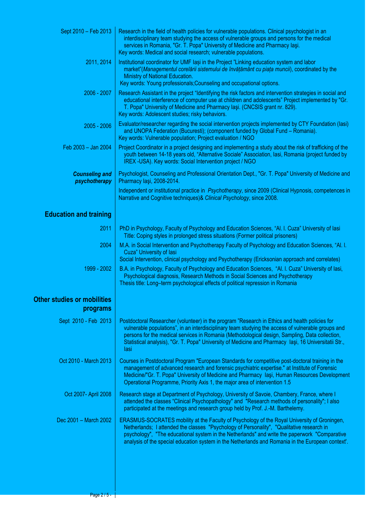| Sept 2010 - Feb 2013                           | Research in the field of health policies for vulnerable populations. Clinical psychologist in an<br>interdisciplinary team studying the access of vulnerable groups and persons for the medical<br>services in Romania, "Gr. T. Popa" University of Medicine and Pharmacy laşi.<br>Key words: Medical and social research; vulnerable populations.                                                                      |
|------------------------------------------------|-------------------------------------------------------------------------------------------------------------------------------------------------------------------------------------------------------------------------------------------------------------------------------------------------------------------------------------------------------------------------------------------------------------------------|
| 2011, 2014                                     | Institutional coordinator for UMF lasi in the Project "Linking education system and labor<br>market"(Managementul corelării sistemului de învățământ cu piața muncii), coordinated by the<br>Ministry of National Education.<br>Key words: Young professionals; Counseling and occupational options.                                                                                                                    |
| 2006 - 2007                                    | Research Assistant in the project "Identifying the risk factors and intervention strategies in social and<br>educational interference of computer use at children and adolescents" Project implemented by "Gr.<br>T. Popa" University of Medicine and Pharmacy laşi. (CNCSIS grant nr. 829).<br>Key words: Adolescent studies; risky behaviors.                                                                         |
| $2005 - 2006$                                  | Evaluator/researcher regarding the social intervention projects implemented by CTY Foundation (lasi)<br>and UNOPA Federation (Bucuresti); (component funded by Global Fund - Romania).<br>Key words: Vulnerable population; Project evaluation / NGO                                                                                                                                                                    |
| Feb 2003 - Jan 2004                            | Project Coordinator in a project designing and implementing a study about the risk of trafficking of the<br>youth between 14-18 years old, "Alternative Sociale" Association, Iasi, Romania (project funded by<br>IREX-USA). Key words: Social Intervention project / NGO                                                                                                                                               |
| <b>Counseling and</b><br>psychotherapy         | Psychologist, Counseling and Professional Orientation Dept., "Gr. T. Popa" University of Medicine and<br>Pharmacy Iași, 2008-2014.                                                                                                                                                                                                                                                                                      |
|                                                | Independent or institutional practice in Psychotherapy, since 2009 (Clinical Hypnosis, competences in<br>Narrative and Cognitive techniques) & Clinical Psychology, since 2008.                                                                                                                                                                                                                                         |
| <b>Education and training</b>                  |                                                                                                                                                                                                                                                                                                                                                                                                                         |
| 2011                                           | PhD in Psychology, Faculty of Psychology and Education Sciences, "Al. I. Cuza" University of lasi<br>Title: Coping styles in prolonged stress situations (Former political prisoners)                                                                                                                                                                                                                                   |
| 2004                                           | M.A. in Social Intervention and Psychotherapy Faculty of Psychology and Education Sciences, "Al. I.<br>Cuza" University of lasi<br>Social Intervention, clinical psychology and Psychotherapy (Ericksonian approach and correlates)                                                                                                                                                                                     |
| 1999 - 2002                                    | B.A. in Psychology, Faculty of Psychology and Education Sciences, "Al. I. Cuza" University of lasi,<br>Psychological diagnosis, Research Methods in Social Sciences and Psychotherapy<br>Thesis title: Long-term psychological effects of political repression in Romania                                                                                                                                               |
| <b>Other studies or mobilities</b><br>programs |                                                                                                                                                                                                                                                                                                                                                                                                                         |
| Sept 2010 - Feb 2013                           | Postdoctoral Researcher (volunteer) in the program "Research in Ethics and health policies for<br>vulnerable populations", in an interdisciplinary team studying the access of vulnerable groups and<br>persons for the medical services in Romania (Methodological design, Sampling, Data collection,<br>Statistical analysis), "Gr. T. Popa" University of Medicine and Pharmacy Iași, 16 Universitatii Str.,<br>lasi |
| Oct 2010 - March 2013                          | Courses in Postdoctoral Program "European Standards for competitive post-doctoral training in the<br>management of advanced research and forensic psychiatric expertise." at Institute of Forensic<br>Medicine/"Gr. T. Popa" University of Medicine and Pharmacy Iași, Human Resources Development<br>Operational Programme, Priority Axis 1, the major area of intervention 1.5                                        |
| Oct 2007- April 2008                           | Research stage at Department of Psychology, University of Savoie, Chambery, France, where I<br>attended the classes "Clinical Psychopathology" and "Research methods of personality"; I also<br>participated at the meetings and research group held by Prof. J.-M. Barthelemy.                                                                                                                                         |
| Dec 2001 - March 2002                          | ERASMUS-SOCRATES mobility at the Faculty of Psychology of the Royal University of Groningen,<br>Netherlands; I attended the classes "Psychology of Personality", "Qualitative research in<br>psychology", "The educational system in the Netherlands" and write the paperwork "Comparative<br>analysis of the special education system in the Netherlands and Romania in the European context'.                         |
|                                                |                                                                                                                                                                                                                                                                                                                                                                                                                         |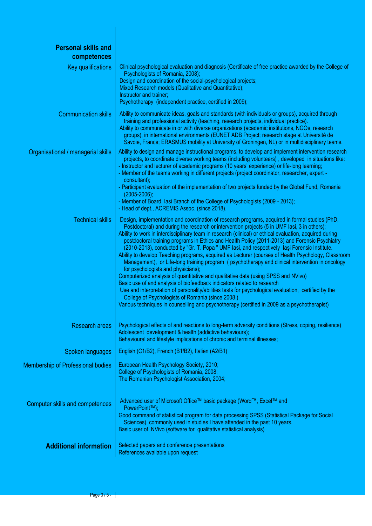| <b>Personal skills and</b><br>competences |                                                                                                                                                                                                                                                                                                                                                                                                                                                                                                                                                                                                                                                                                                                                                                                                                                                                                                                                                                                                                                                                                                                                                                                         |
|-------------------------------------------|-----------------------------------------------------------------------------------------------------------------------------------------------------------------------------------------------------------------------------------------------------------------------------------------------------------------------------------------------------------------------------------------------------------------------------------------------------------------------------------------------------------------------------------------------------------------------------------------------------------------------------------------------------------------------------------------------------------------------------------------------------------------------------------------------------------------------------------------------------------------------------------------------------------------------------------------------------------------------------------------------------------------------------------------------------------------------------------------------------------------------------------------------------------------------------------------|
| Key qualifications                        | Clinical psychological evaluation and diagnosis (Certificate of free practice awarded by the College of<br>Psychologists of Romania, 2008);<br>Design and coordination of the social-psychological projects;<br>Mixed Research models (Qualitative and Quantitative);<br>Instructor and trainer;<br>Psychotherapy (independent practice, certified in 2009);                                                                                                                                                                                                                                                                                                                                                                                                                                                                                                                                                                                                                                                                                                                                                                                                                            |
| <b>Communication skills</b>               | Ability to communicate ideas, goals and standards (with individuals or groups), acquired through<br>training and professional activity (teaching, research projects, individual practice).<br>Ability to communicate in or with diverse organizations (academic institutions, NGOs, research<br>groups), in international environments (EUNET ADB Project; research stage at Université de<br>Savoie, France; ERASMUS mobility at University of Groningen, NL) or in multidisciplinary teams.                                                                                                                                                                                                                                                                                                                                                                                                                                                                                                                                                                                                                                                                                           |
| Organisational / managerial skills        | Ability to design and manage instructional programs, to develop and implement intervention research<br>projects, to coordinate diverse working teams (including volunteers), developed in situations like:<br>- Instructor and lecturer of academic programs (10 years' experience) or life-long learning;<br>- Member of the teams working in different projects (project coordinator, researcher, expert -<br>consultant);<br>- Participant evaluation of the implementation of two projects funded by the Global Fund, Romania<br>$(2005 - 2006);$<br>- Member of Board, lasi Branch of the College of Psychologists (2009 - 2013);<br>- Head of dept., ACREMIS Assoc. (since 2018).                                                                                                                                                                                                                                                                                                                                                                                                                                                                                                 |
| <b>Technical skills</b>                   | Design, implementation and coordination of research programs, acquired in formal studies (PhD,<br>Postdoctoral) and during the research or intervention projects (5 in UMF lasi, 3 in others);<br>Ability to work in interdisciplinary team in research (clinical) or ethical evaluation, acquired during<br>postdoctoral training programs in Ethics and Health Policy (2011-2013) and Forensic Psychiatry<br>(2010-2013), conducted by "Gr. T. Popa " UMF lasi, and respectively lasi Forensic Institute.<br>Ability to develop Teaching programs, acquired as Lecturer (courses of Health Psychology, Classroom<br>Management), or Life-long training program (psychotherapy and clinical intervention in oncology<br>for psychologists and physicians);<br>Computerized analysis of quantitative and qualitative data (using SPSS and NVivo)<br>Basic use of and analysis of biofeedback indicators related to research<br>Use and interpretation of personality/abilities tests for psychological evaluation, certified by the<br>College of Psychologists of Romania (since 2008)<br>Various techniques in counselling and psychotherapy (certified in 2009 as a psychotherapist) |
| <b>Research areas</b>                     | Psychological effects of and reactions to long-term adversity conditions (Stress, coping, resilience)<br>Adolescent development & health (addictive behaviours);<br>Behavioural and lifestyle implications of chronic and terminal illnesses;                                                                                                                                                                                                                                                                                                                                                                                                                                                                                                                                                                                                                                                                                                                                                                                                                                                                                                                                           |
| Spoken languages                          | English (C1/B2), French (B1/B2), Italien (A2/B1)                                                                                                                                                                                                                                                                                                                                                                                                                                                                                                                                                                                                                                                                                                                                                                                                                                                                                                                                                                                                                                                                                                                                        |
| <b>Membership of Professional bodies</b>  | European Health Psychology Society, 2010;<br>College of Psychologists of Romania, 2008;<br>The Romanian Psychologist Association, 2004;                                                                                                                                                                                                                                                                                                                                                                                                                                                                                                                                                                                                                                                                                                                                                                                                                                                                                                                                                                                                                                                 |
| <b>Computer skills and competences</b>    | Advanced user of Microsoft Office™ basic package (Word™, Excel™ and<br>PowerPoint™);<br>Good command of statistical program for data processing SPSS (Statistical Package for Social<br>Sciences), commonly used in studies I have attended in the past 10 years.<br>Basic user of NVivo (software for qualitative statistical analysis)                                                                                                                                                                                                                                                                                                                                                                                                                                                                                                                                                                                                                                                                                                                                                                                                                                                |
| <b>Additional information</b>             | Selected papers and conference presentations<br>References available upon request                                                                                                                                                                                                                                                                                                                                                                                                                                                                                                                                                                                                                                                                                                                                                                                                                                                                                                                                                                                                                                                                                                       |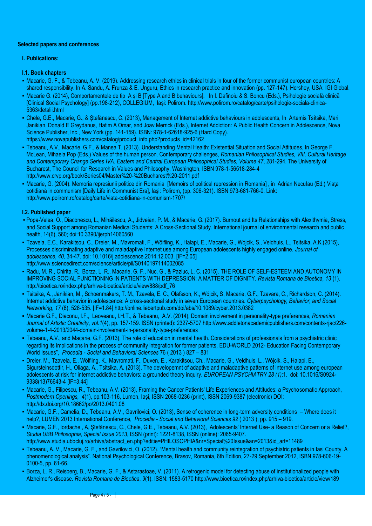#### **Selected papers and conferences**

#### **I. Publications:**

#### **I.1. Book chapters**

- Macarie, G. F., & Tebeanu, A. V. (2019). Addressing research ethics in clinical trials in four of the former communist european countries: A shared responsibility. In A. Sandu, A. Frunza & E. Unguru, Ethics in research practice and innovation (pp. 127-147). Hershey, USA: IGI Global.
- Macarie G. (2014), Comportamentele de tip A și B [Type A and B behaviours]. In I. Dafinoiu & S. Boncu (Eds.), Psihologie socială clinică [Clinical Social Psychology] (pp.198-212), COLLEGIUM, Iași: Polirom. http://www.polirom.ro/catalog/carte/psihologie-sociala-clinica-5363/detalii.html
- · Chele, G.E., Macarie, G., & Ștefănescu, C. (2013), Management of Internet addictive behaviours in adolescents, In Artemis Tsitsika, Mari Janikian, Donald E Greydanus, Hatim A Omar, and Joav Merrick (Eds.), Internet Addiction: A Public Health Concern in Adolescence, Nova Science Publisher, Inc., New York (pp. 141-159). ISBN: 978-1-62618-925-6 (Hard Copy). https://www.novapublishers.com/catalog/product\_info.php?products\_id=42162
- Tebeanu, A.V., Macarie, G.F., & Manea T. (2013). Understanding Mental Health: Existential Situation and Social Attitudes, In George F. McLean, Mihaela Pop (Eds.) Values of the human person. Contemporary challenges, *Romanian Philosophical Studies, VIII, Cultural Heritage and Contemporary Change Series IVA. Eastern and Central European Philosophical Studies, Volume 47*, 281-294. The University of Bucharest, The Council for Research in Values and Philosophy, Washington, ISBN 978-1-56518-284-4 http://www.crvp.org/book/Series04/Master%20-%20Bucharest%20-2011.pdf
- Macarie, G. (2004). Memoria represiunii politice din Romania [Memoirs of political repression in Romania] , in Adrian Neculau (Ed.) Viaţa cotidiană in communism [Daily Life in Communist Era], Iaşi: Polirom, (pp. 306-321). ISBN 973-681-766-0. Link: http://www.polirom.ro/catalog/carte/viata-cotidiana-in-comunism-1707/

## **I.2. Published paper**

- Popa-Velea, O., Diaconescu, L., Mihăilescu, A., Jidveian, P. M., & Macarie, G. (2017). Burnout and Its Relationships with Alexithymia, Stress, and Social Support among Romanian Medical Students: A Cross-Sectional Study. International journal of environmental research and public health, 14(6), 560; doi:10.3390/ijerph14060560
- Tzavela, E.C., Karakitsou, C., Dreier, M., Mavromati, F., Wölfling, K., Halapi, E., Macarie, G., Wójcik, S., Veldhuis, L., Tsitsika, A.K.(2015), Processes discriminating adaptive and maladaptive Internet use among European adolescents highly engaged online. *Journal of adolescence, 40,* 34-47. doi: 10.1016/j.adolescence.2014.12.003. [IF=2.05] http://www.sciencedirect.com/science/article/pii/S0140197114002085
- Radu, M. R., Chirita, R., Borza, L. R., Macarie, G. F., Nuc, G., & Paziuc, L. C. (2015). THE ROLE OF SELF-ESTEEM AND AUTONOMY IN IMPROVING SOCIAL FUNCTIONING IN PATIENTS WITH DEPRESSION: A MATTER OF DIGNITY. *Revista Romana de Bioetica, 13* (1). http://bioetica.ro/index.php/arhiva-bioetica/article/view/888/pdf\_76
- Tsitsika, A., Janikian, M., Schoenmakers, T. M., Tzavela, E. C., Olafsson, K., Wójcik, S, Macarie, G.F., Tzavara, C., Richardson, C. (2014). Internet addictive behavior in adolescence: A cross-sectional study in seven European countries. *Cyberpsychology, Behavior, and Social Networking*, *17* (8), 528-535. [IF=1.84] http://online.liebertpub.com/doi/abs/10.1089/cyber.2013.0382
- Macarie G.F., Diaconu, I.F., Leoveanu, I.H.T., & Tebeanu, A.V. (2014), Domain involvement in personality-type preferences, *Romanian Journal of Artistic Creativity*, *vol.1*(4), pp. 157-159. ISSN (printed): 2327-5707 http://www.addletonacademicpublishers.com/contents-rjac/226 volume-1-4-2013/2044-domain-involvement-in-personality-type-preferences
- Tebeanu, A.V., and Macarie, G.F. (2013), The role of education in mental health. Considerations of professionals from a psychiatric clinic regarding its implications in the process of community integration for former patients*,* EDU-WORLD 2012- Education Facing Contemporary World Issues", *Procedia - Social and Behavioral Sciences* 76 ( 2013 ) 827 – 831
- Dreier, M., Tzavela, E., Wölfling, K., Mavromati, F., Duven, E., Karakitsou, Ch., Macarie, G., Veldhuis, L., Wójcik, S., Halapi, E., Sigursteinsdottir, H., Oliaga, A., Tsitsika, A. (2013). The developemnt of adaptive and maladaptive patterns of internet use among european adolescents at risk for internet addictive behaviors: a grounded theory inquiry. *EUROPEAN PSYCHIATRY 28 (1)*:1. doi: 10.1016/S0924- 9338(13)76643-4 [IF=3.44]
- Macarie, G., Filipescu, R., Tebeanu, A.V. (2013), Framing the Cancer Patients' Life Experiences and Attitudes: a Psychosomatic Approach, *Postmodern Openings, 4*(1), pp.103-116, Lumen, Iaşi, ISSN 2068-0236 (print), ISSN 2069-9387 (electronic) DOI: http://dx.doi.org/10.18662/po/2013.0401.08
- Macarie, G.F., Camelia, D., Tebeanu, A.V., Gavrilovici, O. (2013), Sense of coherence in long-term adversity conditions Where does it help?, LUMEN 2013 International Conference, *Procedia - Social and Behavioral Sciences 92* ( 2013 ), pp. 915 – 919.
- Macarie, G.F., Iordache , A, Ştefănescu, C., Chele, G.E., Tebeanu, A.V. (2013), Adolescents' Internet Use- a Reason of Concern or a Relief?, *Studia UBB Philosophia, Special Issue 2013*, ISSN (print): 1221-8138, ISSN (online): 2065-9407. http://www.studia.ubbcluj.ro/arhiva/abstract\_en.php?editie=PHILOSOPHIA&nr=Special%20Issue&an=2013&id\_art=11489
- Tebeanu, A. V., Macarie, G. F., and Gavrilovici, O. (2012). "Mental health and community reintegration of psychiatric patients in Iasi County. A phenomenological analysis". National Psychological Conference, Brasov, Romania, 6th Edition, 27-29 September 2012, ISBN 978-606-19- 0100-5, pp. 61-66.
- Borza, L. R., Reisberg, B., Macarie, G. F., & Astarastoae, V. (2011). A retrogenic model for detecting abuse of institutionalized people with Alzheimer's disease. *Revista Romana de Bioetica*, *9*(1). ISSN: 1583-5170 http://www.bioetica.ro/index.php/arhiva-bioetica/article/view/189